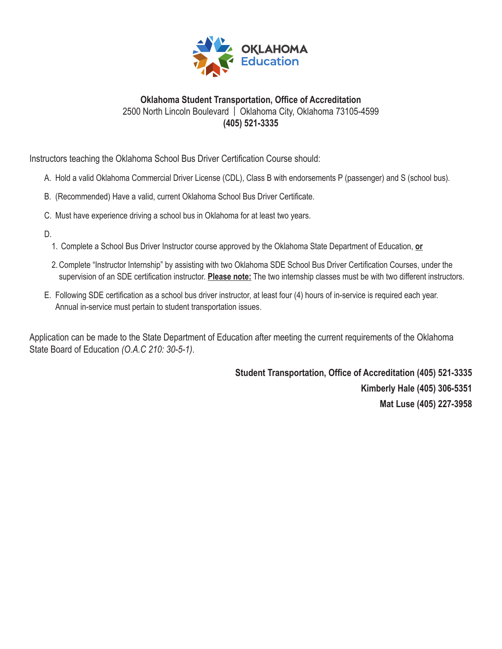

## **Oklahoma Student Transportation, Office of Accreditation** 2500 North Lincoln Boulevard | Oklahoma City, Oklahoma 73105-4599 **(405) 521-3335**

Instructors teaching the Oklahoma School Bus Driver Certification Course should:

- A. Hold a valid Oklahoma Commercial Driver License (CDL), Class B with endorsements P (passenger) and S (school bus).
- B. (Recommended) Have a valid, current Oklahoma School Bus Driver Certificate.
- C. Must have experience driving a school bus in Oklahoma for at least two years.
- D.
	- 1. Complete a School Bus Driver Instructor course approved by the Oklahoma State Department of Education, **or**
	- 2.Complete "Instructor Internship" by assisting with two Oklahoma SDE School Bus Driver Certification Courses, under the supervision of an SDE certification instructor. **Please note:** The two internship classes must be with two different instructors.
- E. Following SDE certification as a school bus driver instructor, at least four (4) hours of in-service is required each year. Annual in-service must pertain to student transportation issues.

Application can be made to the State Department of Education after meeting the current requirements of the Oklahoma State Board of Education *(O.A.C 210: 30-5-1)*.

> **Student Transportation, Office of Accreditation (405) 521-3335 Kimberly Hale (405) 306-5351 Mat Luse (405) 227-3958**